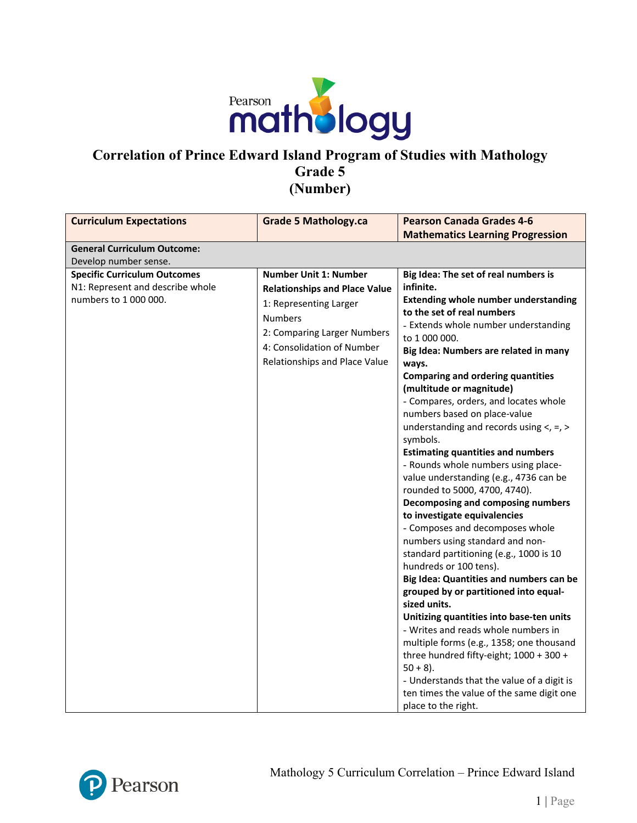

### **Correlation of Prince Edward Island Program of Studies with Mathology Grade 5 (Number)**

| <b>Curriculum Expectations</b>                                                                   | <b>Grade 5 Mathology.ca</b>                                                                                                                                                                                    | <b>Pearson Canada Grades 4-6</b>                                                                                                                                                                                                                                                                                                                                                                                                                                                                                                                                                                                                                                                                                                                                                                                                                                                                                                                                                                                                                                                                                                                                                                                                                    |
|--------------------------------------------------------------------------------------------------|----------------------------------------------------------------------------------------------------------------------------------------------------------------------------------------------------------------|-----------------------------------------------------------------------------------------------------------------------------------------------------------------------------------------------------------------------------------------------------------------------------------------------------------------------------------------------------------------------------------------------------------------------------------------------------------------------------------------------------------------------------------------------------------------------------------------------------------------------------------------------------------------------------------------------------------------------------------------------------------------------------------------------------------------------------------------------------------------------------------------------------------------------------------------------------------------------------------------------------------------------------------------------------------------------------------------------------------------------------------------------------------------------------------------------------------------------------------------------------|
|                                                                                                  |                                                                                                                                                                                                                | <b>Mathematics Learning Progression</b>                                                                                                                                                                                                                                                                                                                                                                                                                                                                                                                                                                                                                                                                                                                                                                                                                                                                                                                                                                                                                                                                                                                                                                                                             |
| <b>General Curriculum Outcome:</b>                                                               |                                                                                                                                                                                                                |                                                                                                                                                                                                                                                                                                                                                                                                                                                                                                                                                                                                                                                                                                                                                                                                                                                                                                                                                                                                                                                                                                                                                                                                                                                     |
| Develop number sense.                                                                            |                                                                                                                                                                                                                |                                                                                                                                                                                                                                                                                                                                                                                                                                                                                                                                                                                                                                                                                                                                                                                                                                                                                                                                                                                                                                                                                                                                                                                                                                                     |
| <b>Specific Curriculum Outcomes</b><br>N1: Represent and describe whole<br>numbers to 1 000 000. | <b>Number Unit 1: Number</b><br><b>Relationships and Place Value</b><br>1: Representing Larger<br><b>Numbers</b><br>2: Comparing Larger Numbers<br>4: Consolidation of Number<br>Relationships and Place Value | Big Idea: The set of real numbers is<br>infinite.<br><b>Extending whole number understanding</b><br>to the set of real numbers<br>- Extends whole number understanding<br>to 1 000 000.<br>Big Idea: Numbers are related in many<br>ways.<br><b>Comparing and ordering quantities</b><br>(multitude or magnitude)<br>- Compares, orders, and locates whole<br>numbers based on place-value<br>understanding and records using $\lt$ , =, ><br>symbols.<br><b>Estimating quantities and numbers</b><br>- Rounds whole numbers using place-<br>value understanding (e.g., 4736 can be<br>rounded to 5000, 4700, 4740).<br>Decomposing and composing numbers<br>to investigate equivalencies<br>- Composes and decomposes whole<br>numbers using standard and non-<br>standard partitioning (e.g., 1000 is 10<br>hundreds or 100 tens).<br>Big Idea: Quantities and numbers can be<br>grouped by or partitioned into equal-<br>sized units.<br>Unitizing quantities into base-ten units<br>- Writes and reads whole numbers in<br>multiple forms (e.g., 1358; one thousand<br>three hundred fifty-eight; 1000 + 300 +<br>$50 + 8$ ).<br>- Understands that the value of a digit is<br>ten times the value of the same digit one<br>place to the right. |

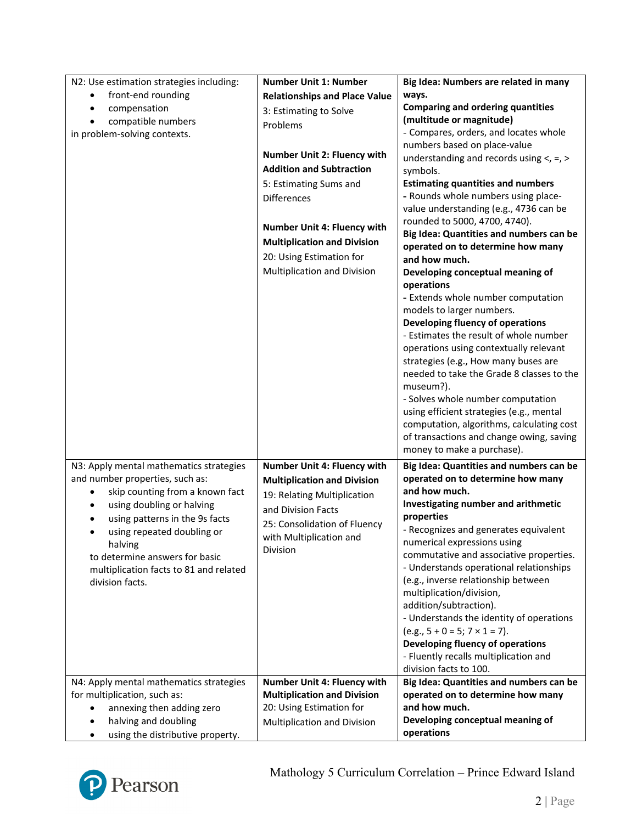| N2: Use estimation strategies including:                 | <b>Number Unit 1: Number</b>         | Big Idea: Numbers are related in many                           |
|----------------------------------------------------------|--------------------------------------|-----------------------------------------------------------------|
| front-end rounding<br>٠                                  | <b>Relationships and Place Value</b> | ways.                                                           |
| compensation<br>$\bullet$                                | 3: Estimating to Solve               | <b>Comparing and ordering quantities</b>                        |
| compatible numbers<br>$\bullet$                          | Problems                             | (multitude or magnitude)                                        |
| in problem-solving contexts.                             |                                      | - Compares, orders, and locates whole                           |
|                                                          |                                      | numbers based on place-value                                    |
|                                                          | <b>Number Unit 2: Fluency with</b>   | understanding and records using $\lt$ , =, >                    |
|                                                          | <b>Addition and Subtraction</b>      | symbols.                                                        |
|                                                          | 5: Estimating Sums and               | <b>Estimating quantities and numbers</b>                        |
|                                                          | <b>Differences</b>                   | - Rounds whole numbers using place-                             |
|                                                          |                                      | value understanding (e.g., 4736 can be                          |
|                                                          | Number Unit 4: Fluency with          | rounded to 5000, 4700, 4740).                                   |
|                                                          | <b>Multiplication and Division</b>   | Big Idea: Quantities and numbers can be                         |
|                                                          | 20: Using Estimation for             | operated on to determine how many                               |
|                                                          | Multiplication and Division          | and how much.                                                   |
|                                                          |                                      | Developing conceptual meaning of                                |
|                                                          |                                      | operations                                                      |
|                                                          |                                      | - Extends whole number computation<br>models to larger numbers. |
|                                                          |                                      | Developing fluency of operations                                |
|                                                          |                                      | - Estimates the result of whole number                          |
|                                                          |                                      | operations using contextually relevant                          |
|                                                          |                                      | strategies (e.g., How many buses are                            |
|                                                          |                                      | needed to take the Grade 8 classes to the                       |
|                                                          |                                      | museum?).                                                       |
|                                                          |                                      | - Solves whole number computation                               |
|                                                          |                                      | using efficient strategies (e.g., mental                        |
|                                                          |                                      | computation, algorithms, calculating cost                       |
|                                                          |                                      | of transactions and change owing, saving                        |
|                                                          |                                      | money to make a purchase).                                      |
| N3: Apply mental mathematics strategies                  | Number Unit 4: Fluency with          | Big Idea: Quantities and numbers can be                         |
| and number properties, such as:                          | <b>Multiplication and Division</b>   | operated on to determine how many                               |
| skip counting from a known fact                          | 19: Relating Multiplication          | and how much.                                                   |
| using doubling or halving<br>٠                           | and Division Facts                   | Investigating number and arithmetic                             |
| using patterns in the 9s facts                           |                                      | properties                                                      |
| using repeated doubling or<br>٠                          | 25: Consolidation of Fluency         | - Recognizes and generates equivalent                           |
| halving                                                  | with Multiplication and              | numerical expressions using                                     |
| to determine answers for basic                           | Division                             | commutative and associative properties.                         |
| multiplication facts to 81 and related                   |                                      | - Understands operational relationships                         |
| division facts.                                          |                                      | (e.g., inverse relationship between                             |
|                                                          |                                      | multiplication/division,                                        |
|                                                          |                                      | addition/subtraction).                                          |
|                                                          |                                      | - Understands the identity of operations                        |
|                                                          |                                      |                                                                 |
|                                                          |                                      | $(e.g., 5 + 0 = 5; 7 \times 1 = 7).$                            |
|                                                          |                                      | Developing fluency of operations                                |
|                                                          |                                      | - Fluently recalls multiplication and                           |
|                                                          |                                      | division facts to 100.                                          |
| N4: Apply mental mathematics strategies                  | <b>Number Unit 4: Fluency with</b>   | Big Idea: Quantities and numbers can be                         |
| for multiplication, such as:                             | <b>Multiplication and Division</b>   | operated on to determine how many                               |
| annexing then adding zero                                | 20: Using Estimation for             | and how much.                                                   |
| halving and doubling<br>using the distributive property. | Multiplication and Division          | Developing conceptual meaning of<br>operations                  |

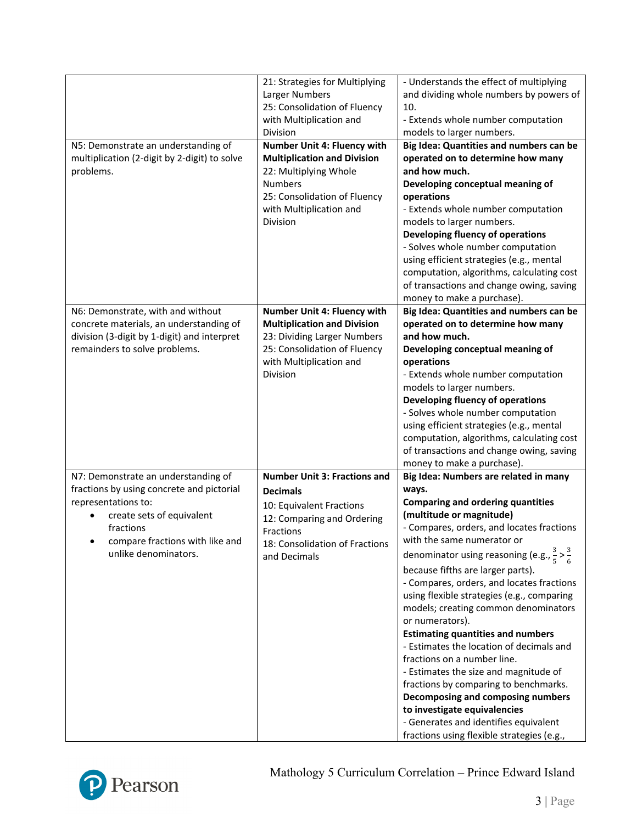| N5: Demonstrate an understanding of<br>multiplication (2-digit by 2-digit) to solve<br>problems.                                                                                                             | 21: Strategies for Multiplying<br>Larger Numbers<br>25: Consolidation of Fluency<br>with Multiplication and<br>Division<br>Number Unit 4: Fluency with<br><b>Multiplication and Division</b><br>22: Multiplying Whole<br><b>Numbers</b><br>25: Consolidation of Fluency<br>with Multiplication and<br><b>Division</b> | - Understands the effect of multiplying<br>and dividing whole numbers by powers of<br>10.<br>- Extends whole number computation<br>models to larger numbers.<br>Big Idea: Quantities and numbers can be<br>operated on to determine how many<br>and how much.<br>Developing conceptual meaning of<br>operations<br>- Extends whole number computation<br>models to larger numbers.<br>Developing fluency of operations                                                                                                                                                                                                                                                                                                                                                                                                              |
|--------------------------------------------------------------------------------------------------------------------------------------------------------------------------------------------------------------|-----------------------------------------------------------------------------------------------------------------------------------------------------------------------------------------------------------------------------------------------------------------------------------------------------------------------|-------------------------------------------------------------------------------------------------------------------------------------------------------------------------------------------------------------------------------------------------------------------------------------------------------------------------------------------------------------------------------------------------------------------------------------------------------------------------------------------------------------------------------------------------------------------------------------------------------------------------------------------------------------------------------------------------------------------------------------------------------------------------------------------------------------------------------------|
|                                                                                                                                                                                                              |                                                                                                                                                                                                                                                                                                                       | - Solves whole number computation<br>using efficient strategies (e.g., mental<br>computation, algorithms, calculating cost<br>of transactions and change owing, saving<br>money to make a purchase).                                                                                                                                                                                                                                                                                                                                                                                                                                                                                                                                                                                                                                |
| N6: Demonstrate, with and without<br>concrete materials, an understanding of<br>division (3-digit by 1-digit) and interpret<br>remainders to solve problems.                                                 | <b>Number Unit 4: Fluency with</b><br><b>Multiplication and Division</b><br>23: Dividing Larger Numbers<br>25: Consolidation of Fluency<br>with Multiplication and<br><b>Division</b>                                                                                                                                 | Big Idea: Quantities and numbers can be<br>operated on to determine how many<br>and how much.<br>Developing conceptual meaning of<br>operations<br>- Extends whole number computation<br>models to larger numbers.<br>Developing fluency of operations<br>- Solves whole number computation<br>using efficient strategies (e.g., mental<br>computation, algorithms, calculating cost<br>of transactions and change owing, saving<br>money to make a purchase).                                                                                                                                                                                                                                                                                                                                                                      |
| N7: Demonstrate an understanding of<br>fractions by using concrete and pictorial<br>representations to:<br>create sets of equivalent<br>fractions<br>compare fractions with like and<br>unlike denominators. | <b>Number Unit 3: Fractions and</b><br><b>Decimals</b><br>10: Equivalent Fractions<br>12: Comparing and Ordering<br>Fractions<br>18: Consolidation of Fractions<br>and Decimals                                                                                                                                       | Big Idea: Numbers are related in many<br>ways.<br><b>Comparing and ordering quantities</b><br>(multitude or magnitude)<br>- Compares, orders, and locates fractions<br>with the same numerator or<br>denominator using reasoning (e.g., $\frac{3}{5} > \frac{3}{6}$<br>because fifths are larger parts).<br>- Compares, orders, and locates fractions<br>using flexible strategies (e.g., comparing<br>models; creating common denominators<br>or numerators).<br><b>Estimating quantities and numbers</b><br>- Estimates the location of decimals and<br>fractions on a number line.<br>- Estimates the size and magnitude of<br>fractions by comparing to benchmarks.<br>Decomposing and composing numbers<br>to investigate equivalencies<br>- Generates and identifies equivalent<br>fractions using flexible strategies (e.g., |

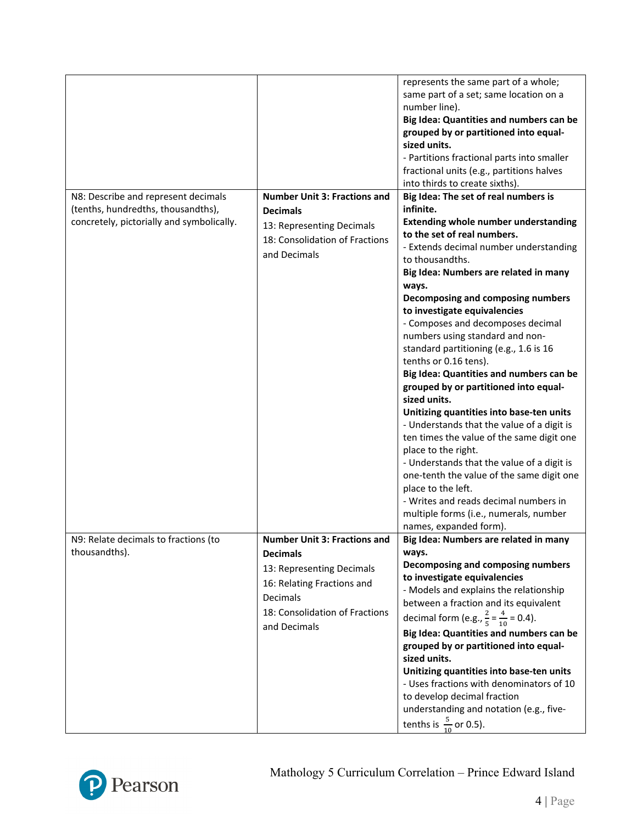|                                                                                                                        |                                                                                                                                                                                 | represents the same part of a whole;<br>same part of a set; same location on a<br>number line).<br>Big Idea: Quantities and numbers can be<br>grouped by or partitioned into equal-<br>sized units.<br>- Partitions fractional parts into smaller<br>fractional units (e.g., partitions halves<br>into thirds to create sixths).                                                                                                                                                                                                                                                                                                                                                                                                                                                                                                                                                                                                                               |
|------------------------------------------------------------------------------------------------------------------------|---------------------------------------------------------------------------------------------------------------------------------------------------------------------------------|----------------------------------------------------------------------------------------------------------------------------------------------------------------------------------------------------------------------------------------------------------------------------------------------------------------------------------------------------------------------------------------------------------------------------------------------------------------------------------------------------------------------------------------------------------------------------------------------------------------------------------------------------------------------------------------------------------------------------------------------------------------------------------------------------------------------------------------------------------------------------------------------------------------------------------------------------------------|
| N8: Describe and represent decimals<br>(tenths, hundredths, thousandths),<br>concretely, pictorially and symbolically. | <b>Number Unit 3: Fractions and</b><br><b>Decimals</b><br>13: Representing Decimals<br>18: Consolidation of Fractions<br>and Decimals                                           | Big Idea: The set of real numbers is<br>infinite.<br><b>Extending whole number understanding</b><br>to the set of real numbers.<br>- Extends decimal number understanding<br>to thousandths.<br>Big Idea: Numbers are related in many<br>ways.<br>Decomposing and composing numbers<br>to investigate equivalencies<br>- Composes and decomposes decimal<br>numbers using standard and non-<br>standard partitioning (e.g., 1.6 is 16<br>tenths or 0.16 tens).<br>Big Idea: Quantities and numbers can be<br>grouped by or partitioned into equal-<br>sized units.<br>Unitizing quantities into base-ten units<br>- Understands that the value of a digit is<br>ten times the value of the same digit one<br>place to the right.<br>- Understands that the value of a digit is<br>one-tenth the value of the same digit one<br>place to the left.<br>- Writes and reads decimal numbers in<br>multiple forms (i.e., numerals, number<br>names, expanded form). |
| N9: Relate decimals to fractions (to<br>thousandths).                                                                  | <b>Number Unit 3: Fractions and</b><br><b>Decimals</b><br>13: Representing Decimals<br>16: Relating Fractions and<br>Decimals<br>18: Consolidation of Fractions<br>and Decimals | Big Idea: Numbers are related in many<br>ways.<br>Decomposing and composing numbers<br>to investigate equivalencies<br>- Models and explains the relationship<br>between a fraction and its equivalent<br>decimal form (e.g., $\frac{2}{5} = \frac{4}{10} = 0.4$ ).<br>Big Idea: Quantities and numbers can be<br>grouped by or partitioned into equal-<br>sized units.<br>Unitizing quantities into base-ten units<br>- Uses fractions with denominators of 10<br>to develop decimal fraction<br>understanding and notation (e.g., five-<br>tenths is $\frac{5}{10}$ or 0.5).                                                                                                                                                                                                                                                                                                                                                                                 |

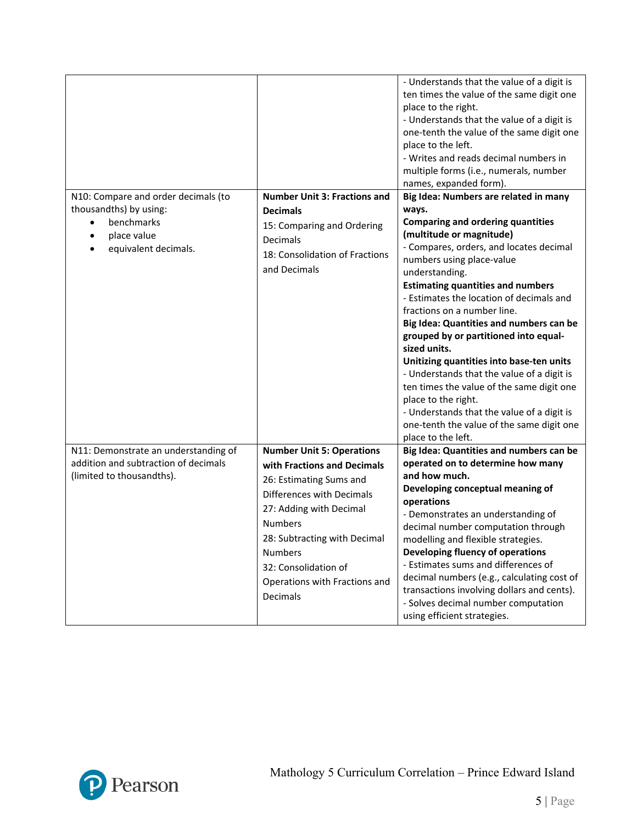|                                                                                                                                              |                                                                                                                                                                                                                                                                                             | - Understands that the value of a digit is<br>ten times the value of the same digit one<br>place to the right.<br>- Understands that the value of a digit is<br>one-tenth the value of the same digit one<br>place to the left.<br>- Writes and reads decimal numbers in<br>multiple forms (i.e., numerals, number<br>names, expanded form).                                                                                                                                                                                                                                                                                                                                                                               |
|----------------------------------------------------------------------------------------------------------------------------------------------|---------------------------------------------------------------------------------------------------------------------------------------------------------------------------------------------------------------------------------------------------------------------------------------------|----------------------------------------------------------------------------------------------------------------------------------------------------------------------------------------------------------------------------------------------------------------------------------------------------------------------------------------------------------------------------------------------------------------------------------------------------------------------------------------------------------------------------------------------------------------------------------------------------------------------------------------------------------------------------------------------------------------------------|
| N10: Compare and order decimals (to<br>thousandths) by using:<br>benchmarks<br>$\bullet$<br>place value<br>$\bullet$<br>equivalent decimals. | <b>Number Unit 3: Fractions and</b><br><b>Decimals</b><br>15: Comparing and Ordering<br>Decimals<br>18: Consolidation of Fractions<br>and Decimals                                                                                                                                          | Big Idea: Numbers are related in many<br>ways.<br><b>Comparing and ordering quantities</b><br>(multitude or magnitude)<br>- Compares, orders, and locates decimal<br>numbers using place-value<br>understanding.<br><b>Estimating quantities and numbers</b><br>- Estimates the location of decimals and<br>fractions on a number line.<br>Big Idea: Quantities and numbers can be<br>grouped by or partitioned into equal-<br>sized units.<br>Unitizing quantities into base-ten units<br>- Understands that the value of a digit is<br>ten times the value of the same digit one<br>place to the right.<br>- Understands that the value of a digit is<br>one-tenth the value of the same digit one<br>place to the left. |
| N11: Demonstrate an understanding of<br>addition and subtraction of decimals<br>(limited to thousandths).                                    | <b>Number Unit 5: Operations</b><br>with Fractions and Decimals<br>26: Estimating Sums and<br>Differences with Decimals<br>27: Adding with Decimal<br><b>Numbers</b><br>28: Subtracting with Decimal<br><b>Numbers</b><br>32: Consolidation of<br>Operations with Fractions and<br>Decimals | Big Idea: Quantities and numbers can be<br>operated on to determine how many<br>and how much.<br>Developing conceptual meaning of<br>operations<br>- Demonstrates an understanding of<br>decimal number computation through<br>modelling and flexible strategies.<br>Developing fluency of operations<br>- Estimates sums and differences of<br>decimal numbers (e.g., calculating cost of<br>transactions involving dollars and cents).<br>- Solves decimal number computation<br>using efficient strategies.                                                                                                                                                                                                             |

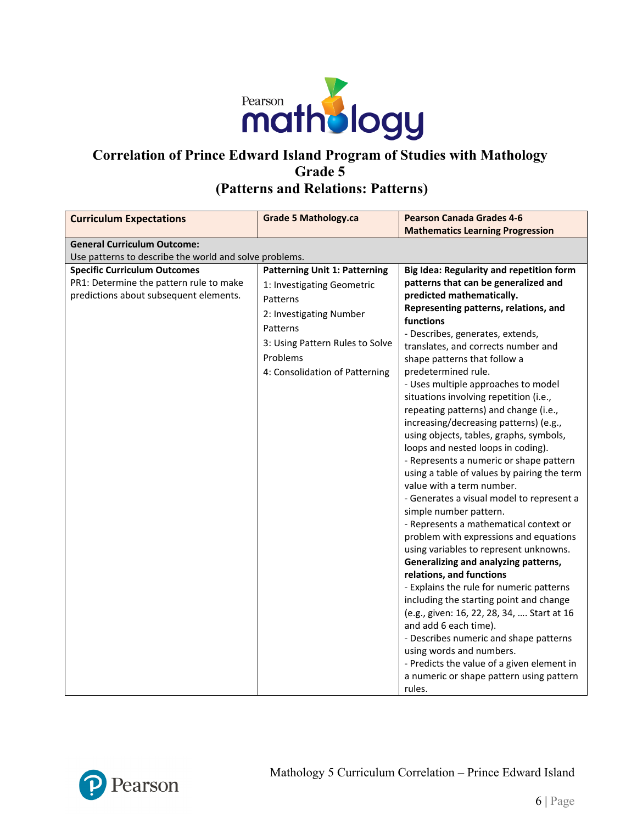

# **Correlation of Prince Edward Island Program of Studies with Mathology Grade 5 (Patterns and Relations: Patterns)**

| <b>Curriculum Expectations</b>                                                                                                                                                     | <b>Grade 5 Mathology.ca</b>                                                                                                                                                                            | <b>Pearson Canada Grades 4-6</b>                                                                                                                                                                                                                                                                                                                                                                                                                                                                                                                                                                                                                                                                                                                                                                                                                                                                                                                                                                                                                                                                                                                                                                                                                                                         |  |  |
|------------------------------------------------------------------------------------------------------------------------------------------------------------------------------------|--------------------------------------------------------------------------------------------------------------------------------------------------------------------------------------------------------|------------------------------------------------------------------------------------------------------------------------------------------------------------------------------------------------------------------------------------------------------------------------------------------------------------------------------------------------------------------------------------------------------------------------------------------------------------------------------------------------------------------------------------------------------------------------------------------------------------------------------------------------------------------------------------------------------------------------------------------------------------------------------------------------------------------------------------------------------------------------------------------------------------------------------------------------------------------------------------------------------------------------------------------------------------------------------------------------------------------------------------------------------------------------------------------------------------------------------------------------------------------------------------------|--|--|
|                                                                                                                                                                                    |                                                                                                                                                                                                        | <b>Mathematics Learning Progression</b>                                                                                                                                                                                                                                                                                                                                                                                                                                                                                                                                                                                                                                                                                                                                                                                                                                                                                                                                                                                                                                                                                                                                                                                                                                                  |  |  |
| <b>General Curriculum Outcome:</b>                                                                                                                                                 |                                                                                                                                                                                                        |                                                                                                                                                                                                                                                                                                                                                                                                                                                                                                                                                                                                                                                                                                                                                                                                                                                                                                                                                                                                                                                                                                                                                                                                                                                                                          |  |  |
|                                                                                                                                                                                    |                                                                                                                                                                                                        |                                                                                                                                                                                                                                                                                                                                                                                                                                                                                                                                                                                                                                                                                                                                                                                                                                                                                                                                                                                                                                                                                                                                                                                                                                                                                          |  |  |
| Use patterns to describe the world and solve problems.<br><b>Specific Curriculum Outcomes</b><br>PR1: Determine the pattern rule to make<br>predictions about subsequent elements. | <b>Patterning Unit 1: Patterning</b><br>1: Investigating Geometric<br>Patterns<br>2: Investigating Number<br>Patterns<br>3: Using Pattern Rules to Solve<br>Problems<br>4: Consolidation of Patterning | Big Idea: Regularity and repetition form<br>patterns that can be generalized and<br>predicted mathematically.<br>Representing patterns, relations, and<br>functions<br>- Describes, generates, extends,<br>translates, and corrects number and<br>shape patterns that follow a<br>predetermined rule.<br>- Uses multiple approaches to model<br>situations involving repetition (i.e.,<br>repeating patterns) and change (i.e.,<br>increasing/decreasing patterns) (e.g.,<br>using objects, tables, graphs, symbols,<br>loops and nested loops in coding).<br>- Represents a numeric or shape pattern<br>using a table of values by pairing the term<br>value with a term number.<br>- Generates a visual model to represent a<br>simple number pattern.<br>- Represents a mathematical context or<br>problem with expressions and equations<br>using variables to represent unknowns.<br>Generalizing and analyzing patterns,<br>relations, and functions<br>- Explains the rule for numeric patterns<br>including the starting point and change<br>(e.g., given: 16, 22, 28, 34,  Start at 16<br>and add 6 each time).<br>- Describes numeric and shape patterns<br>using words and numbers.<br>- Predicts the value of a given element in<br>a numeric or shape pattern using pattern |  |  |
|                                                                                                                                                                                    |                                                                                                                                                                                                        | rules.                                                                                                                                                                                                                                                                                                                                                                                                                                                                                                                                                                                                                                                                                                                                                                                                                                                                                                                                                                                                                                                                                                                                                                                                                                                                                   |  |  |

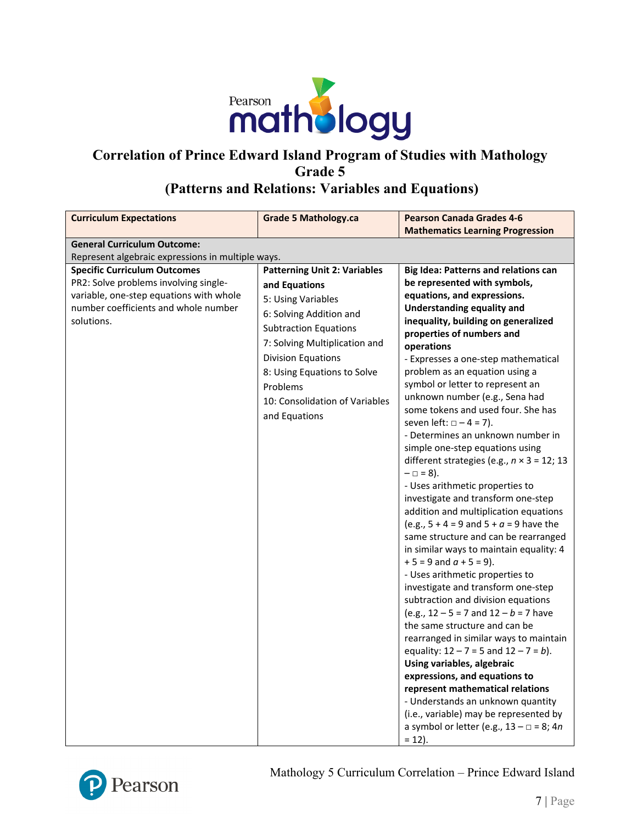

#### **Correlation of Prince Edward Island Program of Studies with Mathology Grade 5 (Patterns and Relations: Variables and Equations)**

#### **Curriculum Expectations Grade 5 Mathology.ca Pearson Canada Grades 4-6 Mathematics Learning Progression General Curriculum Outcome:** Represent algebraic expressions in multiple ways. **Specific Curriculum Outcomes** PR2: Solve problems involving singlevariable, one-step equations with whole number coefficients and whole number solutions. **Patterning Unit 2: Variables and Equations** 5: Using Variables 6: Solving Addition and Subtraction Equations 7: Solving Multiplication and Division Equations 8: Using Equations to Solve Problems 10: Consolidation of Variables and Equations **Big Idea: Patterns and relations can be represented with symbols, equations, and expressions. Understanding equality and inequality, building on generalized properties of numbers and operations** - Expresses a one-step mathematical problem as an equation using a symbol or letter to represent an unknown number (e.g., Sena had some tokens and used four. She has seven left:  $\Box - 4 = 7$ ). - Determines an unknown number in simple one-step equations using different strategies (e.g., *n* × 3 = 12; 13  $- = 8$ ). - Uses arithmetic properties to investigate and transform one-step addition and multiplication equations (e.g.,  $5 + 4 = 9$  and  $5 + a = 9$  have the same structure and can be rearranged in similar ways to maintain equality: 4  $+ 5 = 9$  and  $a + 5 = 9$ ). - Uses arithmetic properties to investigate and transform one-step subtraction and division equations (e.g.,  $12 - 5 = 7$  and  $12 - b = 7$  have the same structure and can be rearranged in similar ways to maintain equality: 12 – 7 = 5 and 12 – 7 = *b*). **Using variables, algebraic expressions, and equations to represent mathematical relations** - Understands an unknown quantity (i.e., variable) may be represented by a symbol or letter (e.g., 13 – □ = 8; 4*n*



 $= 12$ ).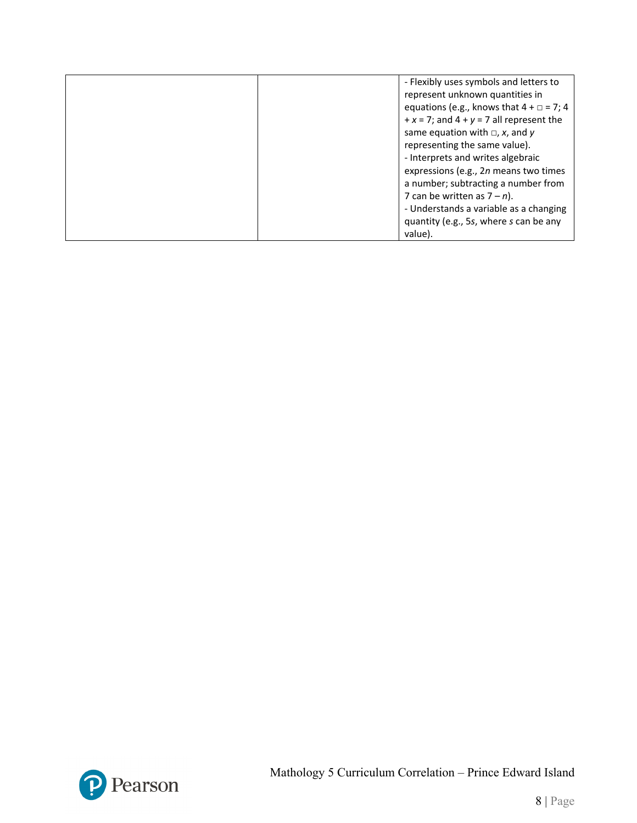| - Flexibly uses symbols and letters to            |
|---------------------------------------------------|
| represent unknown quantities in                   |
| equations (e.g., knows that $4 + \square = 7$ ; 4 |
| $+x = 7$ ; and $4 + y = 7$ all represent the      |
| same equation with $\Box$ , x, and y              |
| representing the same value).                     |
| - Interprets and writes algebraic                 |
| expressions (e.g., 2n means two times             |
| a number; subtracting a number from               |
| 7 can be written as $7 - n$ ).                    |
| - Understands a variable as a changing            |
| quantity (e.g., 5s, where s can be any            |
| value).                                           |

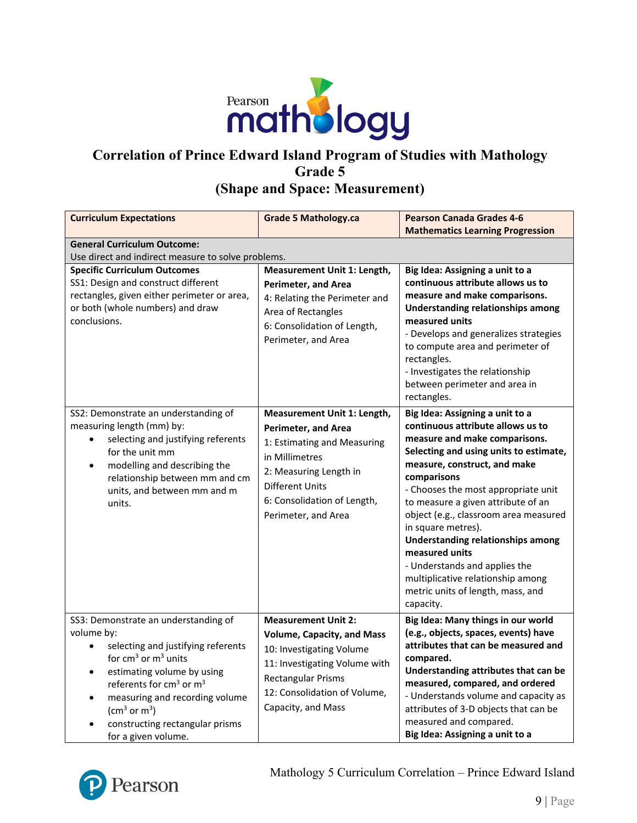

### **Correlation of Prince Edward Island Program of Studies with Mathology Grade 5 (Shape and Space: Measurement)**

| <b>Curriculum Expectations</b>                                                                                                                                                                                                                                                                                                                                                  | <b>Grade 5 Mathology.ca</b>                                                                                                                                                                                          | <b>Pearson Canada Grades 4-6</b><br><b>Mathematics Learning Progression</b>                                                                                                                                                                                                                                                                                                                                                                                                                                                      |  |
|---------------------------------------------------------------------------------------------------------------------------------------------------------------------------------------------------------------------------------------------------------------------------------------------------------------------------------------------------------------------------------|----------------------------------------------------------------------------------------------------------------------------------------------------------------------------------------------------------------------|----------------------------------------------------------------------------------------------------------------------------------------------------------------------------------------------------------------------------------------------------------------------------------------------------------------------------------------------------------------------------------------------------------------------------------------------------------------------------------------------------------------------------------|--|
| <b>General Curriculum Outcome:</b><br>Use direct and indirect measure to solve problems.                                                                                                                                                                                                                                                                                        |                                                                                                                                                                                                                      |                                                                                                                                                                                                                                                                                                                                                                                                                                                                                                                                  |  |
| <b>Specific Curriculum Outcomes</b><br>SS1: Design and construct different<br>rectangles, given either perimeter or area,<br>or both (whole numbers) and draw<br>conclusions.                                                                                                                                                                                                   | Measurement Unit 1: Length,<br><b>Perimeter, and Area</b><br>4: Relating the Perimeter and<br>Area of Rectangles<br>6: Consolidation of Length,<br>Perimeter, and Area                                               | Big Idea: Assigning a unit to a<br>continuous attribute allows us to<br>measure and make comparisons.<br><b>Understanding relationships among</b><br>measured units<br>- Develops and generalizes strategies<br>to compute area and perimeter of<br>rectangles.<br>- Investigates the relationship<br>between perimeter and area in<br>rectangles.                                                                                                                                                                               |  |
| SS2: Demonstrate an understanding of<br>measuring length (mm) by:<br>selecting and justifying referents<br>for the unit mm<br>modelling and describing the<br>$\bullet$<br>relationship between mm and cm<br>units, and between mm and m<br>units.                                                                                                                              | Measurement Unit 1: Length,<br><b>Perimeter, and Area</b><br>1: Estimating and Measuring<br>in Millimetres<br>2: Measuring Length in<br><b>Different Units</b><br>6: Consolidation of Length,<br>Perimeter, and Area | Big Idea: Assigning a unit to a<br>continuous attribute allows us to<br>measure and make comparisons.<br>Selecting and using units to estimate,<br>measure, construct, and make<br>comparisons<br>- Chooses the most appropriate unit<br>to measure a given attribute of an<br>object (e.g., classroom area measured<br>in square metres).<br><b>Understanding relationships among</b><br>measured units<br>- Understands and applies the<br>multiplicative relationship among<br>metric units of length, mass, and<br>capacity. |  |
| SS3: Demonstrate an understanding of<br>volume by:<br>selecting and justifying referents<br>$\bullet$<br>for $cm3$ or $m3$ units<br>estimating volume by using<br>$\bullet$<br>referents for cm <sup>3</sup> or m <sup>3</sup><br>measuring and recording volume<br>$\bullet$<br>(cm <sup>3</sup> or m <sup>3</sup> )<br>constructing rectangular prisms<br>for a given volume. | <b>Measurement Unit 2:</b><br><b>Volume, Capacity, and Mass</b><br>10: Investigating Volume<br>11: Investigating Volume with<br><b>Rectangular Prisms</b><br>12: Consolidation of Volume,<br>Capacity, and Mass      | Big Idea: Many things in our world<br>(e.g., objects, spaces, events) have<br>attributes that can be measured and<br>compared.<br>Understanding attributes that can be<br>measured, compared, and ordered<br>- Understands volume and capacity as<br>attributes of 3-D objects that can be<br>measured and compared.<br>Big Idea: Assigning a unit to a                                                                                                                                                                          |  |

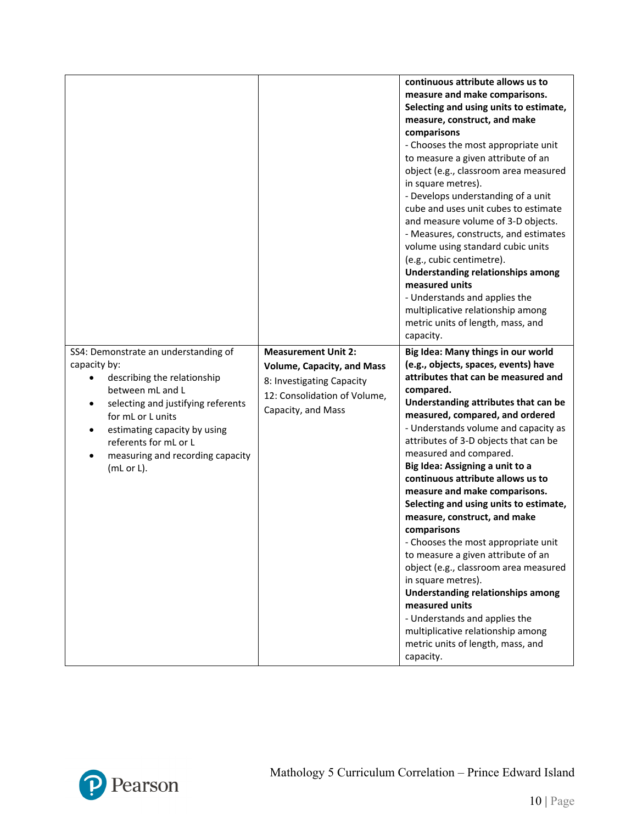|                                                                                                                                                                                                                                                                                         |                                                                                                                                                    | continuous attribute allows us to<br>measure and make comparisons.<br>Selecting and using units to estimate,<br>measure, construct, and make<br>comparisons<br>- Chooses the most appropriate unit<br>to measure a given attribute of an<br>object (e.g., classroom area measured<br>in square metres).<br>- Develops understanding of a unit<br>cube and uses unit cubes to estimate<br>and measure volume of 3-D objects.<br>- Measures, constructs, and estimates<br>volume using standard cubic units<br>(e.g., cubic centimetre).<br>Understanding relationships among<br>measured units<br>- Understands and applies the<br>multiplicative relationship among<br>metric units of length, mass, and<br>capacity.                                                                                                                             |
|-----------------------------------------------------------------------------------------------------------------------------------------------------------------------------------------------------------------------------------------------------------------------------------------|----------------------------------------------------------------------------------------------------------------------------------------------------|---------------------------------------------------------------------------------------------------------------------------------------------------------------------------------------------------------------------------------------------------------------------------------------------------------------------------------------------------------------------------------------------------------------------------------------------------------------------------------------------------------------------------------------------------------------------------------------------------------------------------------------------------------------------------------------------------------------------------------------------------------------------------------------------------------------------------------------------------|
| SS4: Demonstrate an understanding of<br>capacity by:<br>describing the relationship<br>between mL and L<br>selecting and justifying referents<br>٠<br>for mL or L units<br>estimating capacity by using<br>٠<br>referents for mL or L<br>measuring and recording capacity<br>(mL or L). | <b>Measurement Unit 2:</b><br><b>Volume, Capacity, and Mass</b><br>8: Investigating Capacity<br>12: Consolidation of Volume,<br>Capacity, and Mass | Big Idea: Many things in our world<br>(e.g., objects, spaces, events) have<br>attributes that can be measured and<br>compared.<br>Understanding attributes that can be<br>measured, compared, and ordered<br>- Understands volume and capacity as<br>attributes of 3-D objects that can be<br>measured and compared.<br>Big Idea: Assigning a unit to a<br>continuous attribute allows us to<br>measure and make comparisons.<br>Selecting and using units to estimate,<br>measure, construct, and make<br>comparisons<br>- Chooses the most appropriate unit<br>to measure a given attribute of an<br>object (e.g., classroom area measured<br>in square metres).<br>Understanding relationships among<br>measured units<br>- Understands and applies the<br>multiplicative relationship among<br>metric units of length, mass, and<br>capacity. |

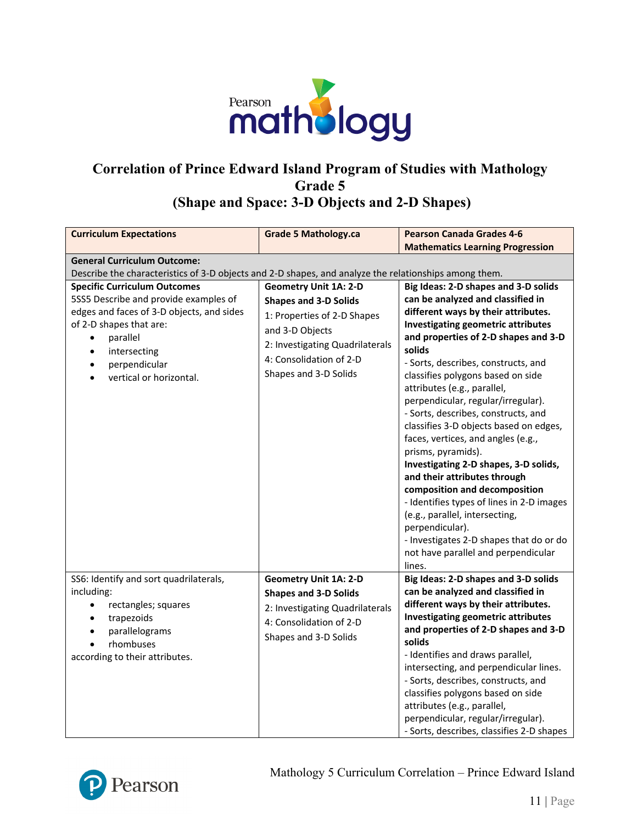

# **Correlation of Prince Edward Island Program of Studies with Mathology Grade 5 (Shape and Space: 3-D Objects and 2-D Shapes)**

| <b>Curriculum Expectations</b>                                                                                                                                                       | <b>Grade 5 Mathology.ca</b>                                                                                                                         | <b>Pearson Canada Grades 4-6</b>                                                                                                                                                                                                                                                                                                                                                                                                                                                                                                                                                                                   |
|--------------------------------------------------------------------------------------------------------------------------------------------------------------------------------------|-----------------------------------------------------------------------------------------------------------------------------------------------------|--------------------------------------------------------------------------------------------------------------------------------------------------------------------------------------------------------------------------------------------------------------------------------------------------------------------------------------------------------------------------------------------------------------------------------------------------------------------------------------------------------------------------------------------------------------------------------------------------------------------|
|                                                                                                                                                                                      |                                                                                                                                                     | <b>Mathematics Learning Progression</b>                                                                                                                                                                                                                                                                                                                                                                                                                                                                                                                                                                            |
| <b>General Curriculum Outcome:</b>                                                                                                                                                   |                                                                                                                                                     |                                                                                                                                                                                                                                                                                                                                                                                                                                                                                                                                                                                                                    |
| Describe the characteristics of 3-D objects and 2-D shapes, and analyze the relationships among them.                                                                                |                                                                                                                                                     |                                                                                                                                                                                                                                                                                                                                                                                                                                                                                                                                                                                                                    |
| <b>Specific Curriculum Outcomes</b>                                                                                                                                                  | <b>Geometry Unit 1A: 2-D</b>                                                                                                                        | Big Ideas: 2-D shapes and 3-D solids                                                                                                                                                                                                                                                                                                                                                                                                                                                                                                                                                                               |
| 5SS5 Describe and provide examples of                                                                                                                                                | <b>Shapes and 3-D Solids</b>                                                                                                                        | can be analyzed and classified in                                                                                                                                                                                                                                                                                                                                                                                                                                                                                                                                                                                  |
| edges and faces of 3-D objects, and sides<br>of 2-D shapes that are:<br>parallel<br>$\bullet$<br>intersecting<br>$\bullet$<br>perpendicular<br>vertical or horizontal.               | 1: Properties of 2-D Shapes<br>and 3-D Objects<br>2: Investigating Quadrilaterals<br>4: Consolidation of 2-D<br>Shapes and 3-D Solids               | different ways by their attributes.<br>Investigating geometric attributes<br>and properties of 2-D shapes and 3-D<br>solids<br>- Sorts, describes, constructs, and<br>classifies polygons based on side<br>attributes (e.g., parallel,<br>perpendicular, regular/irregular).<br>- Sorts, describes, constructs, and<br>classifies 3-D objects based on edges,<br>faces, vertices, and angles (e.g.,<br>prisms, pyramids).<br>Investigating 2-D shapes, 3-D solids,<br>and their attributes through<br>composition and decomposition<br>- Identifies types of lines in 2-D images<br>(e.g., parallel, intersecting, |
|                                                                                                                                                                                      |                                                                                                                                                     | perpendicular).<br>- Investigates 2-D shapes that do or do<br>not have parallel and perpendicular<br>lines.                                                                                                                                                                                                                                                                                                                                                                                                                                                                                                        |
| SS6: Identify and sort quadrilaterals,<br>including:<br>rectangles; squares<br>$\bullet$<br>trapezoids<br>$\bullet$<br>parallelograms<br>rhombuses<br>according to their attributes. | <b>Geometry Unit 1A: 2-D</b><br><b>Shapes and 3-D Solids</b><br>2: Investigating Quadrilaterals<br>4: Consolidation of 2-D<br>Shapes and 3-D Solids | Big Ideas: 2-D shapes and 3-D solids<br>can be analyzed and classified in<br>different ways by their attributes.<br><b>Investigating geometric attributes</b><br>and properties of 2-D shapes and 3-D<br>solids<br>- Identifies and draws parallel,<br>intersecting, and perpendicular lines.<br>- Sorts, describes, constructs, and<br>classifies polygons based on side<br>attributes (e.g., parallel,<br>perpendicular, regular/irregular).<br>- Sorts, describes, classifies 2-D shapes                                                                                                                        |

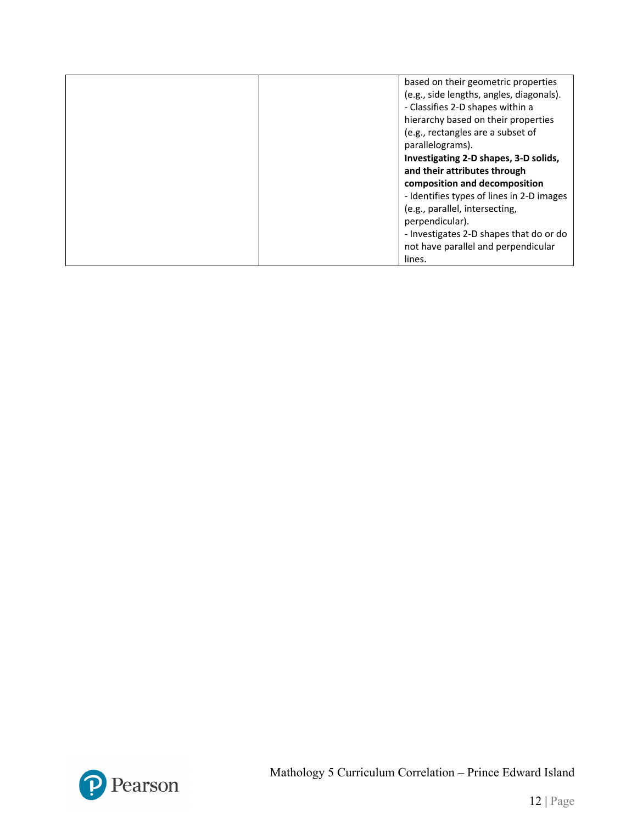| based on their geometric properties       |
|-------------------------------------------|
| (e.g., side lengths, angles, diagonals).  |
| - Classifies 2-D shapes within a          |
| hierarchy based on their properties       |
| (e.g., rectangles are a subset of         |
| parallelograms).                          |
| Investigating 2-D shapes, 3-D solids,     |
| and their attributes through              |
| composition and decomposition             |
| - Identifies types of lines in 2-D images |
| (e.g., parallel, intersecting,            |
| perpendicular).                           |
| - Investigates 2-D shapes that do or do   |
| not have parallel and perpendicular       |
| lines.                                    |

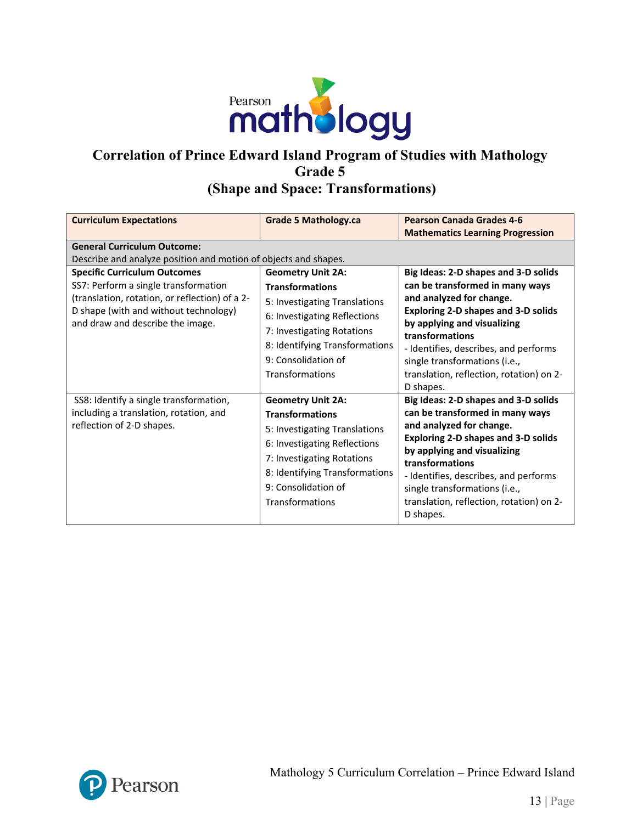

#### **Correlation of Prince Edward Island Program of Studies with Mathology Grade 5 (Shape and Space: Transformations)**

| <b>Curriculum Expectations</b>                                                                                                                                                                                                                                                  | <b>Grade 5 Mathology.ca</b>                                                                                                                                                                                                   | <b>Pearson Canada Grades 4-6</b><br><b>Mathematics Learning Progression</b>                                                                                                                                                                                                                                                            |
|---------------------------------------------------------------------------------------------------------------------------------------------------------------------------------------------------------------------------------------------------------------------------------|-------------------------------------------------------------------------------------------------------------------------------------------------------------------------------------------------------------------------------|----------------------------------------------------------------------------------------------------------------------------------------------------------------------------------------------------------------------------------------------------------------------------------------------------------------------------------------|
| <b>General Curriculum Outcome:</b><br>Describe and analyze position and motion of objects and shapes.<br><b>Specific Curriculum Outcomes</b><br>SS7: Perform a single transformation<br>(translation, rotation, or reflection) of a 2-<br>D shape (with and without technology) | <b>Geometry Unit 2A:</b><br><b>Transformations</b><br>5: Investigating Translations                                                                                                                                           | Big Ideas: 2-D shapes and 3-D solids<br>can be transformed in many ways<br>and analyzed for change.<br><b>Exploring 2-D shapes and 3-D solids</b>                                                                                                                                                                                      |
| and draw and describe the image.                                                                                                                                                                                                                                                | 6: Investigating Reflections<br>7: Investigating Rotations<br>8: Identifying Transformations<br>9: Consolidation of<br>Transformations                                                                                        | by applying and visualizing<br>transformations<br>- Identifies, describes, and performs<br>single transformations (i.e.,<br>translation, reflection, rotation) on 2-<br>D shapes.                                                                                                                                                      |
| SS8: Identify a single transformation,<br>including a translation, rotation, and<br>reflection of 2-D shapes.                                                                                                                                                                   | <b>Geometry Unit 2A:</b><br><b>Transformations</b><br>5: Investigating Translations<br>6: Investigating Reflections<br>7: Investigating Rotations<br>8: Identifying Transformations<br>9: Consolidation of<br>Transformations | Big Ideas: 2-D shapes and 3-D solids<br>can be transformed in many ways<br>and analyzed for change.<br><b>Exploring 2-D shapes and 3-D solids</b><br>by applying and visualizing<br>transformations<br>- Identifies, describes, and performs<br>single transformations (i.e.,<br>translation, reflection, rotation) on 2-<br>D shapes. |

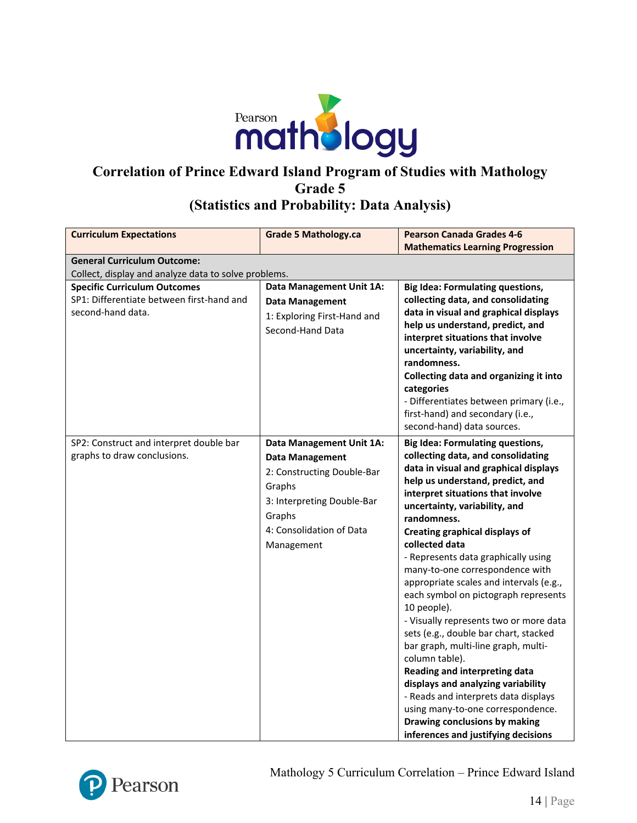

# **Correlation of Prince Edward Island Program of Studies with Mathology Grade 5**

# **(Statistics and Probability: Data Analysis)**

| <b>Curriculum Expectations</b>                                                                        | <b>Grade 5 Mathology.ca</b>                                                                                                                                                  | <b>Pearson Canada Grades 4-6</b>                                                                                                                                                                                                                                                                                                                                                                                                                                                                                                                                                                                                                                                                                                                                                                                                                               |  |  |
|-------------------------------------------------------------------------------------------------------|------------------------------------------------------------------------------------------------------------------------------------------------------------------------------|----------------------------------------------------------------------------------------------------------------------------------------------------------------------------------------------------------------------------------------------------------------------------------------------------------------------------------------------------------------------------------------------------------------------------------------------------------------------------------------------------------------------------------------------------------------------------------------------------------------------------------------------------------------------------------------------------------------------------------------------------------------------------------------------------------------------------------------------------------------|--|--|
|                                                                                                       |                                                                                                                                                                              | <b>Mathematics Learning Progression</b>                                                                                                                                                                                                                                                                                                                                                                                                                                                                                                                                                                                                                                                                                                                                                                                                                        |  |  |
| <b>General Curriculum Outcome:</b>                                                                    |                                                                                                                                                                              |                                                                                                                                                                                                                                                                                                                                                                                                                                                                                                                                                                                                                                                                                                                                                                                                                                                                |  |  |
| Collect, display and analyze data to solve problems.                                                  |                                                                                                                                                                              |                                                                                                                                                                                                                                                                                                                                                                                                                                                                                                                                                                                                                                                                                                                                                                                                                                                                |  |  |
| <b>Specific Curriculum Outcomes</b><br>SP1: Differentiate between first-hand and<br>second-hand data. | Data Management Unit 1A:<br><b>Data Management</b><br>1: Exploring First-Hand and<br>Second-Hand Data                                                                        | <b>Big Idea: Formulating questions,</b><br>collecting data, and consolidating<br>data in visual and graphical displays<br>help us understand, predict, and<br>interpret situations that involve<br>uncertainty, variability, and<br>randomness.<br>Collecting data and organizing it into<br>categories<br>- Differentiates between primary (i.e.,<br>first-hand) and secondary (i.e.,<br>second-hand) data sources.                                                                                                                                                                                                                                                                                                                                                                                                                                           |  |  |
| SP2: Construct and interpret double bar<br>graphs to draw conclusions.                                | Data Management Unit 1A:<br><b>Data Management</b><br>2: Constructing Double-Bar<br>Graphs<br>3: Interpreting Double-Bar<br>Graphs<br>4: Consolidation of Data<br>Management | <b>Big Idea: Formulating questions,</b><br>collecting data, and consolidating<br>data in visual and graphical displays<br>help us understand, predict, and<br>interpret situations that involve<br>uncertainty, variability, and<br>randomness.<br><b>Creating graphical displays of</b><br>collected data<br>- Represents data graphically using<br>many-to-one correspondence with<br>appropriate scales and intervals (e.g.,<br>each symbol on pictograph represents<br>10 people).<br>- Visually represents two or more data<br>sets (e.g., double bar chart, stacked<br>bar graph, multi-line graph, multi-<br>column table).<br>Reading and interpreting data<br>displays and analyzing variability<br>- Reads and interprets data displays<br>using many-to-one correspondence.<br>Drawing conclusions by making<br>inferences and justifying decisions |  |  |



Mathology 5 Curriculum Correlation – Prince Edward Island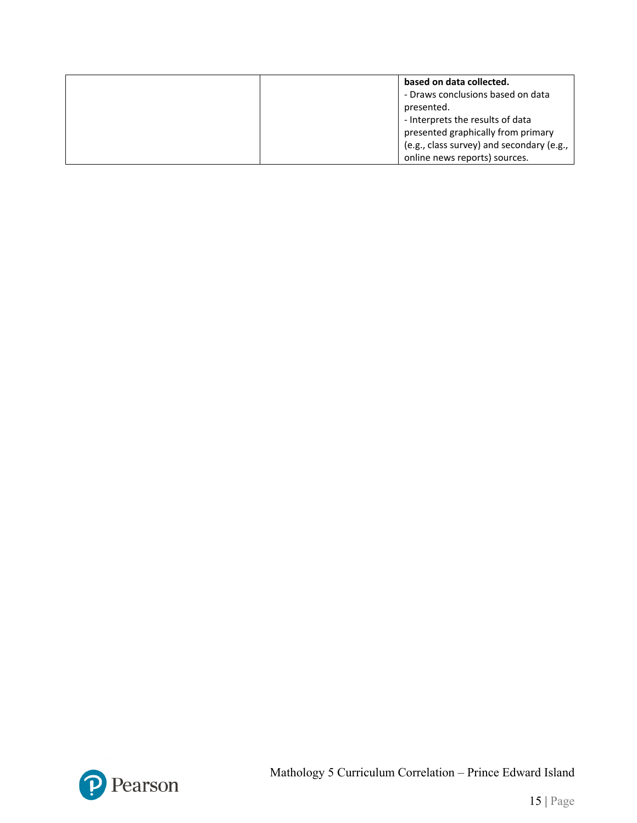| based on data collected.                  |
|-------------------------------------------|
| - Draws conclusions based on data         |
| presented.                                |
| - Interprets the results of data          |
| presented graphically from primary        |
| (e.g., class survey) and secondary (e.g., |
| online news reports) sources.             |